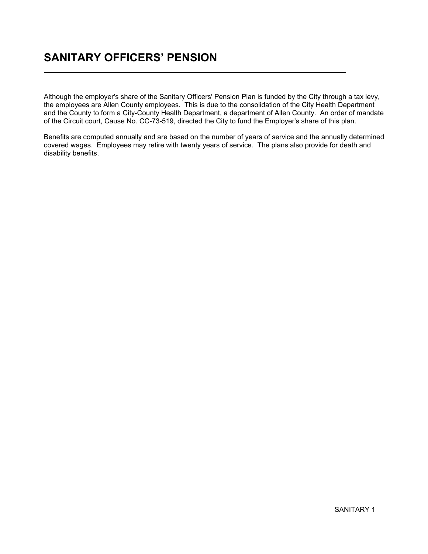## SANITARY OFFICERS' PENSION Ĭ

Ī

Although the employer's share of the Sanitary Officers' Pension Plan is funded by the City through a tax levy, the employees are Allen County employees. This is due to the consolidation of the City Health Department and the County to form a City-County Health Department, a department of Allen County. An order of mandate of the Circuit court, Cause No. CC-73-519, directed the City to fund the Employer's share of this plan.

Benefits are computed annually and are based on the number of years of service and the annually determined covered wages. Employees may retire with twenty years of service. The plans also provide for death and disability benefits.